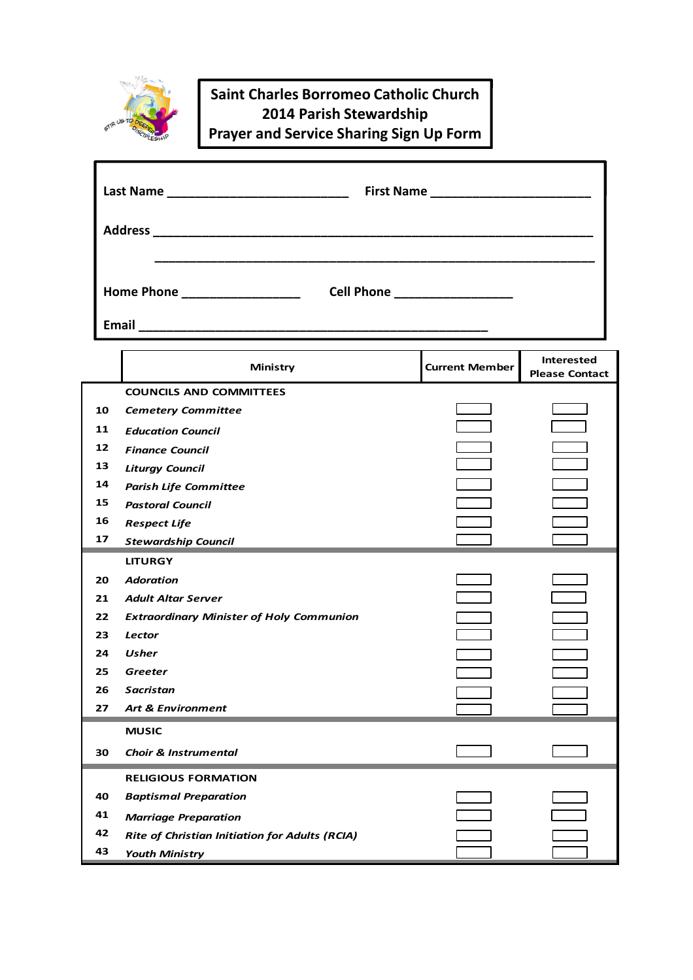

## **Saint Charles Borromeo Catholic Church 2014 Parish Stewardship Prayer and Service Sharing Sign Up Form**

ī

|                                                                     | Last Name ______________________________              |                       |                                            |  |  |
|---------------------------------------------------------------------|-------------------------------------------------------|-----------------------|--------------------------------------------|--|--|
|                                                                     |                                                       |                       |                                            |  |  |
| Home Phone ____________________<br>Cell Phone _____________________ |                                                       |                       |                                            |  |  |
|                                                                     |                                                       |                       |                                            |  |  |
|                                                                     | <b>Ministry</b>                                       | <b>Current Member</b> | <b>Interested</b><br><b>Please Contact</b> |  |  |
|                                                                     | <b>COUNCILS AND COMMITTEES</b>                        |                       |                                            |  |  |
| 10                                                                  | <b>Cemetery Committee</b>                             |                       |                                            |  |  |
| 11                                                                  | <b>Education Council</b>                              |                       |                                            |  |  |
| 12                                                                  | <b>Finance Council</b>                                |                       |                                            |  |  |
| 13                                                                  | <b>Liturgy Council</b>                                |                       |                                            |  |  |
| 14                                                                  | <b>Parish Life Committee</b>                          |                       |                                            |  |  |
| 15                                                                  | <b>Pastoral Council</b>                               |                       |                                            |  |  |
| 16                                                                  | <b>Respect Life</b>                                   |                       |                                            |  |  |
| 17                                                                  | <b>Stewardship Council</b>                            |                       |                                            |  |  |
|                                                                     | <b>LITURGY</b>                                        |                       |                                            |  |  |
| 20                                                                  | <b>Adoration</b>                                      |                       |                                            |  |  |
| 21                                                                  | <b>Adult Altar Server</b>                             |                       |                                            |  |  |
| 22                                                                  | <b>Extraordinary Minister of Holy Communion</b>       |                       |                                            |  |  |
| 23                                                                  | <b>Lector</b>                                         |                       |                                            |  |  |
| 24                                                                  | Usher                                                 |                       |                                            |  |  |
| 25                                                                  | Greeter                                               |                       |                                            |  |  |
| 26                                                                  | Sacristan                                             |                       |                                            |  |  |
| 27                                                                  | <b>Art &amp; Environment</b>                          |                       |                                            |  |  |
|                                                                     | <b>MUSIC</b>                                          |                       |                                            |  |  |
| 30                                                                  | <b>Choir &amp; Instrumental</b>                       |                       |                                            |  |  |
|                                                                     | <b>RELIGIOUS FORMATION</b>                            |                       |                                            |  |  |
| 40                                                                  | <b>Baptismal Preparation</b>                          |                       |                                            |  |  |
| 41                                                                  | <b>Marriage Preparation</b>                           |                       |                                            |  |  |
| 42                                                                  | <b>Rite of Christian Initiation for Adults (RCIA)</b> |                       |                                            |  |  |
| 43                                                                  | <b>Youth Ministry</b>                                 |                       |                                            |  |  |